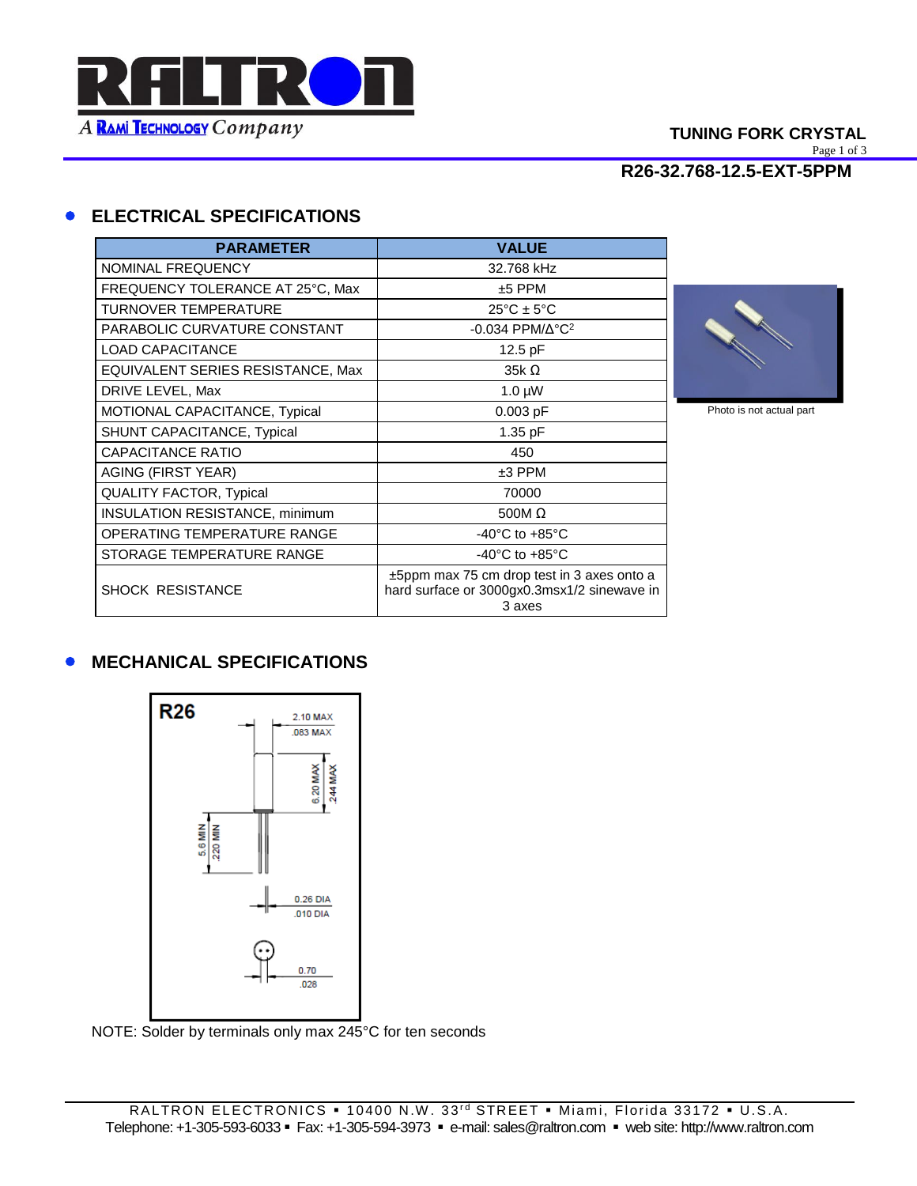

## **TUNING FORK CRYSTAL**

Page 1 of 3

**R26-32.768-12.5-EXT-5PPM**

# **ELECTRICAL SPECIFICATIONS**

| <b>PARAMETER</b>                      | <b>VALUE</b>                                                                                             |
|---------------------------------------|----------------------------------------------------------------------------------------------------------|
| <b>NOMINAL FREQUENCY</b>              | 32.768 kHz                                                                                               |
| FREQUENCY TOLERANCE AT 25°C, Max      | $±5$ PPM                                                                                                 |
| <b>TURNOVER TEMPERATURE</b>           | $25^{\circ}$ C ± 5°C                                                                                     |
| PARABOLIC CURVATURE CONSTANT          | $-0.034$ PPM/ $\Delta$ °C <sup>2</sup>                                                                   |
| <b>LOAD CAPACITANCE</b>               | 12.5 pF                                                                                                  |
| EQUIVALENT SERIES RESISTANCE, Max     | $35k\Omega$                                                                                              |
| DRIVE LEVEL, Max                      | $1.0 \mu W$                                                                                              |
| MOTIONAL CAPACITANCE, Typical         | $0.003$ pF                                                                                               |
| SHUNT CAPACITANCE, Typical            | 1.35 pF                                                                                                  |
| <b>CAPACITANCE RATIO</b>              | 450                                                                                                      |
| AGING (FIRST YEAR)                    | $±3$ PPM                                                                                                 |
| <b>QUALITY FACTOR, Typical</b>        | 70000                                                                                                    |
| <b>INSULATION RESISTANCE, minimum</b> | 500M $\Omega$                                                                                            |
| OPERATING TEMPERATURE RANGE           | $-40^{\circ}$ C to $+85^{\circ}$ C                                                                       |
| STORAGE TEMPERATURE RANGE             | $-40^{\circ}$ C to $+85^{\circ}$ C                                                                       |
| <b>SHOCK RESISTANCE</b>               | $\pm$ 5ppm max 75 cm drop test in 3 axes onto a<br>hard surface or 3000gx0.3msx1/2 sinewave in<br>3 axes |



Photo is not actual part

## **• MECHANICAL SPECIFICATIONS**



NOTE: Solder by terminals only max 245°C for ten seconds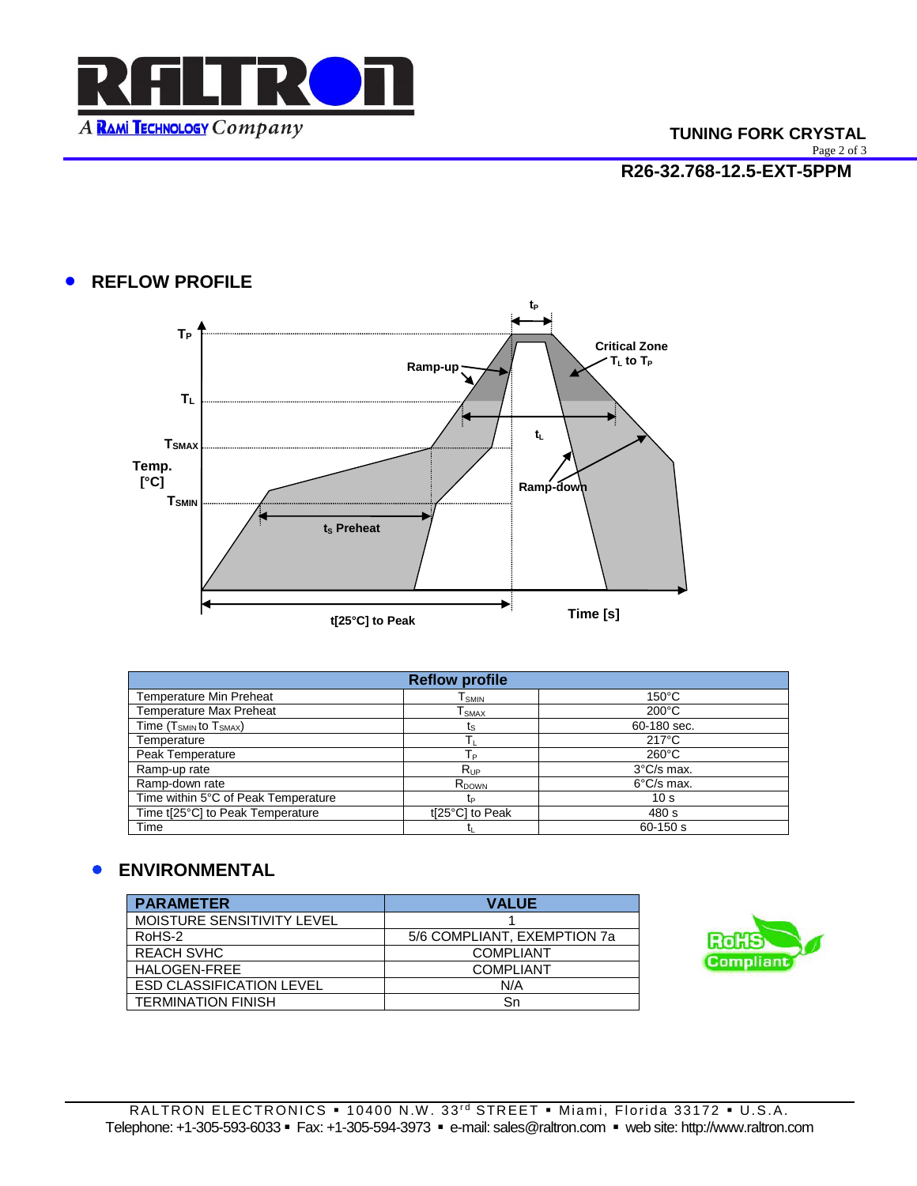

## **TUNING FORK CRYSTAL**

Page 2 of 3

**R26-32.768-12.5-EXT-5PPM**

## **• REFLOW PROFILE**



| <b>Reflow profile</b>               |                              |                      |
|-------------------------------------|------------------------------|----------------------|
| <b>Temperature Min Preheat</b>      | $\mathsf{T}_{\mathsf{SMIN}}$ | $150^{\circ}$ C      |
| <b>Temperature Max Preheat</b>      | I smax                       | $200^{\circ}$ C      |
| Time $(T_{SMIN}$ to $T_{SMAX}$ )    | ts                           | 60-180 sec.          |
| Temperature                         |                              | $217^{\circ}$ C      |
| Peak Temperature                    | Tр                           | $260^{\circ}$ C      |
| Ramp-up rate                        | $R_{UP}$                     | $3^{\circ}$ C/s max. |
| Ramp-down rate                      | R <sub>DOWN</sub>            | $6^{\circ}$ C/s max. |
| Time within 5°C of Peak Temperature | tь                           | 10 <sub>s</sub>      |
| Time t[25°C] to Peak Temperature    | t[25°C] to Peak              | 480 s                |
| Time                                |                              | $60 - 150$ s         |

## **ENVIRONMENTAL**

| <b>PARAMETER</b>                | <b>VALUE</b>                |
|---------------------------------|-----------------------------|
| MOISTURE SENSITIVITY LEVEL      |                             |
| RoHS-2                          | 5/6 COMPLIANT, EXEMPTION 7a |
| <b>REACH SVHC</b>               | <b>COMPLIANT</b>            |
| HALOGEN-FREE                    | <b>COMPLIANT</b>            |
| <b>ESD CLASSIFICATION LEVEL</b> | N/A                         |
| <b>TERMINATION FINISH</b>       | Sn                          |